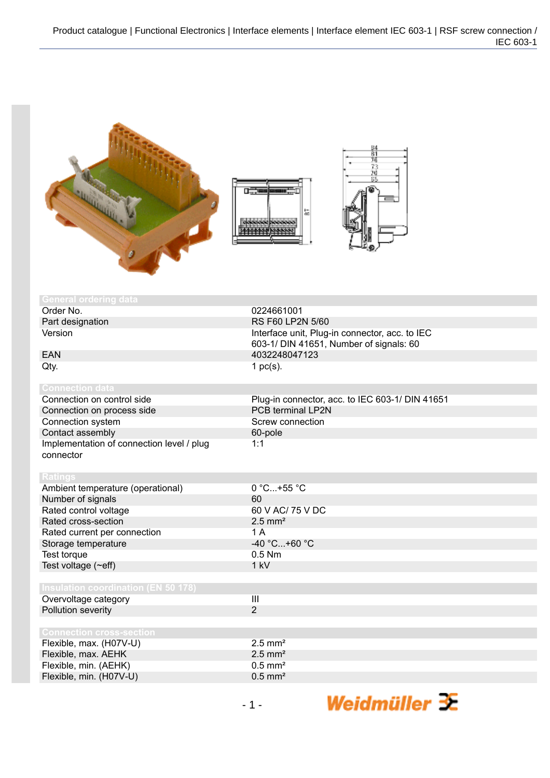

| General ordering data                                  |                                                                                           |
|--------------------------------------------------------|-------------------------------------------------------------------------------------------|
| Order No.                                              | 0224661001                                                                                |
| Part designation                                       | <b>RS F60 LP2N 5/60</b>                                                                   |
| Version                                                | Interface unit, Plug-in connector, acc. to IEC<br>603-1/ DIN 41651, Number of signals: 60 |
| <b>EAN</b>                                             | 4032248047123                                                                             |
| Qty.                                                   | 1 $pc(s)$ .                                                                               |
| <b>Connection data</b>                                 |                                                                                           |
| Connection on control side                             | Plug-in connector, acc. to IEC 603-1/ DIN 41651                                           |
| Connection on process side                             | <b>PCB terminal LP2N</b>                                                                  |
| Connection system                                      | Screw connection                                                                          |
| Contact assembly                                       | 60-pole                                                                                   |
| Implementation of connection level / plug<br>connector | 1:1                                                                                       |
| <b>Ratings</b>                                         |                                                                                           |
| Ambient temperature (operational)                      | 0 °C+55 °C                                                                                |
| Number of signals                                      | 60                                                                                        |
| Rated control voltage                                  | 60 V AC/ 75 V DC                                                                          |
| Rated cross-section                                    | $2.5$ mm <sup>2</sup>                                                                     |
| Rated current per connection                           | 1 A                                                                                       |
| Storage temperature                                    | -40 °C+60 °C                                                                              |
| Test torque                                            | $0.5$ Nm                                                                                  |
| Test voltage (~eff)                                    | 1 kV                                                                                      |
|                                                        |                                                                                           |
| <b>Insulation coordination (EN 50 178)</b>             |                                                                                           |
| Overvoltage category                                   | $\mathbf{III}$                                                                            |
| Pollution severity                                     | $\overline{2}$                                                                            |
| <b>Connection cross-section</b>                        |                                                                                           |
| Flexible, max. (H07V-U)                                | $2.5$ mm <sup>2</sup>                                                                     |
| Flexible, max. AEHK                                    | $2.5$ mm <sup>2</sup>                                                                     |
| Flexible, min. (AEHK)                                  | $0.5$ mm <sup>2</sup>                                                                     |
| Flexible, min. (H07V-U)                                | $0.5$ mm <sup>2</sup>                                                                     |
|                                                        |                                                                                           |

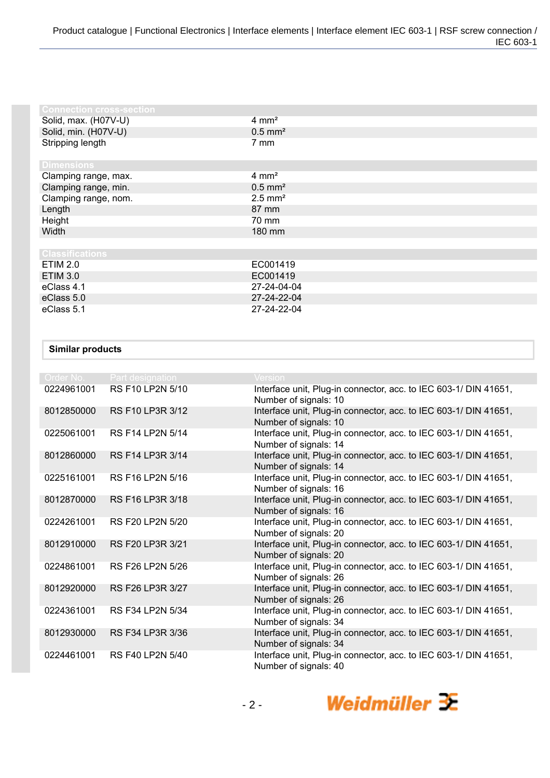| <b>Connection cross-section</b> |                       |
|---------------------------------|-----------------------|
| Solid, max. (H07V-U)            | $4 \text{ mm}^2$      |
| Solid, min. (H07V-U)            | $0.5$ mm <sup>2</sup> |
| Stripping length                | 7 mm                  |
| <b>Dimensions</b>               |                       |
| Clamping range, max.            | $4 \, \text{mm}^2$    |
| Clamping range, min.            | $0.5$ mm <sup>2</sup> |
| Clamping range, nom.            | $2.5$ mm <sup>2</sup> |
| Length                          | 87 mm                 |
| Height                          | 70 mm                 |
| Width                           | 180 mm                |
|                                 |                       |
| <b>Classifications</b>          |                       |
| <b>ETIM 2.0</b>                 | EC001419              |
| <b>ETIM 3.0</b>                 | EC001419              |
| eClass 4.1                      | 27-24-04-04           |
| eClass 5.0                      | 27-24-22-04           |
| eClass 5.1                      | 27-24-22-04           |

## **Similar products**

| Order No.  | <b>Part designation</b> | <b>Version</b>                                                                            |
|------------|-------------------------|-------------------------------------------------------------------------------------------|
| 0224961001 | RS F10 LP2N 5/10        | Interface unit, Plug-in connector, acc. to IEC 603-1/ DIN 41651,<br>Number of signals: 10 |
| 8012850000 | RS F10 LP3R 3/12        | Interface unit, Plug-in connector, acc. to IEC 603-1/ DIN 41651,<br>Number of signals: 10 |
| 0225061001 | <b>RS F14 LP2N 5/14</b> | Interface unit, Plug-in connector, acc. to IEC 603-1/ DIN 41651,<br>Number of signals: 14 |
| 8012860000 | RS F14 LP3R 3/14        | Interface unit, Plug-in connector, acc. to IEC 603-1/ DIN 41651,<br>Number of signals: 14 |
| 0225161001 | RS F16 LP2N 5/16        | Interface unit, Plug-in connector, acc. to IEC 603-1/ DIN 41651,<br>Number of signals: 16 |
| 8012870000 | RS F16 LP3R 3/18        | Interface unit, Plug-in connector, acc. to IEC 603-1/ DIN 41651,<br>Number of signals: 16 |
| 0224261001 | <b>RS F20 LP2N 5/20</b> | Interface unit, Plug-in connector, acc. to IEC 603-1/ DIN 41651,<br>Number of signals: 20 |
| 8012910000 | RS F20 LP3R 3/21        | Interface unit, Plug-in connector, acc. to IEC 603-1/ DIN 41651,<br>Number of signals: 20 |
| 0224861001 | RS F26 LP2N 5/26        | Interface unit, Plug-in connector, acc. to IEC 603-1/ DIN 41651,<br>Number of signals: 26 |
| 8012920000 | RS F26 LP3R 3/27        | Interface unit, Plug-in connector, acc. to IEC 603-1/ DIN 41651,<br>Number of signals: 26 |
| 0224361001 | RS F34 LP2N 5/34        | Interface unit, Plug-in connector, acc. to IEC 603-1/ DIN 41651,<br>Number of signals: 34 |
| 8012930000 | RS F34 LP3R 3/36        | Interface unit, Plug-in connector, acc. to IEC 603-1/ DIN 41651,<br>Number of signals: 34 |
| 0224461001 | <b>RS F40 LP2N 5/40</b> | Interface unit, Plug-in connector, acc. to IEC 603-1/ DIN 41651,<br>Number of signals: 40 |